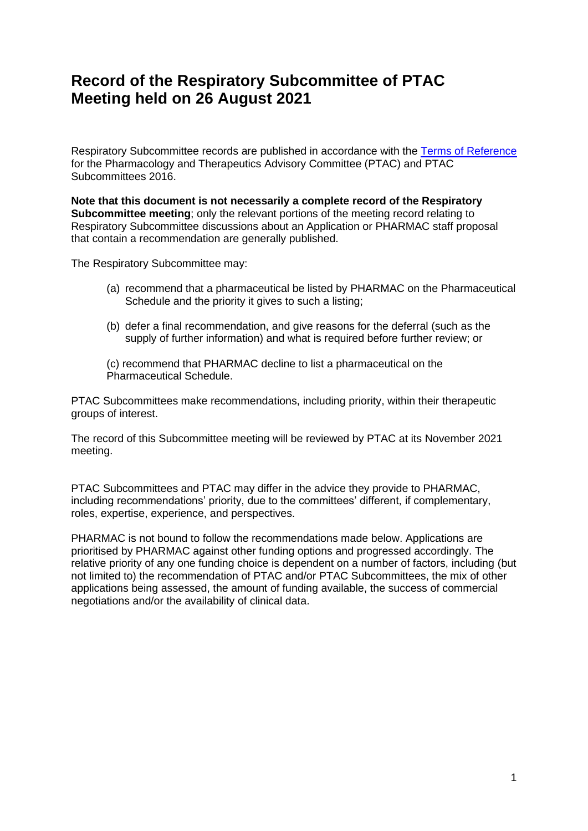# **Record of the Respiratory Subcommittee of PTAC Meeting held on 26 August 2021**

Respiratory Subcommittee records are published in accordance with the [Terms of Reference](https://www.pharmac.govt.nz/assets/ptac-terms-of-reference.pdf) for the Pharmacology and Therapeutics Advisory Committee (PTAC) and PTAC Subcommittees 2016.

**Note that this document is not necessarily a complete record of the Respiratory Subcommittee meeting**; only the relevant portions of the meeting record relating to Respiratory Subcommittee discussions about an Application or PHARMAC staff proposal that contain a recommendation are generally published.

The Respiratory Subcommittee may:

- (a) recommend that a pharmaceutical be listed by PHARMAC on the Pharmaceutical Schedule and the priority it gives to such a listing;
- (b) defer a final recommendation, and give reasons for the deferral (such as the supply of further information) and what is required before further review; or

(c) recommend that PHARMAC decline to list a pharmaceutical on the Pharmaceutical Schedule.

PTAC Subcommittees make recommendations, including priority, within their therapeutic groups of interest.

The record of this Subcommittee meeting will be reviewed by PTAC at its November 2021 meeting.

PTAC Subcommittees and PTAC may differ in the advice they provide to PHARMAC, including recommendations' priority, due to the committees' different, if complementary, roles, expertise, experience, and perspectives.

PHARMAC is not bound to follow the recommendations made below. Applications are prioritised by PHARMAC against other funding options and progressed accordingly. The relative priority of any one funding choice is dependent on a number of factors, including (but not limited to) the recommendation of PTAC and/or PTAC Subcommittees, the mix of other applications being assessed, the amount of funding available, the success of commercial negotiations and/or the availability of clinical data.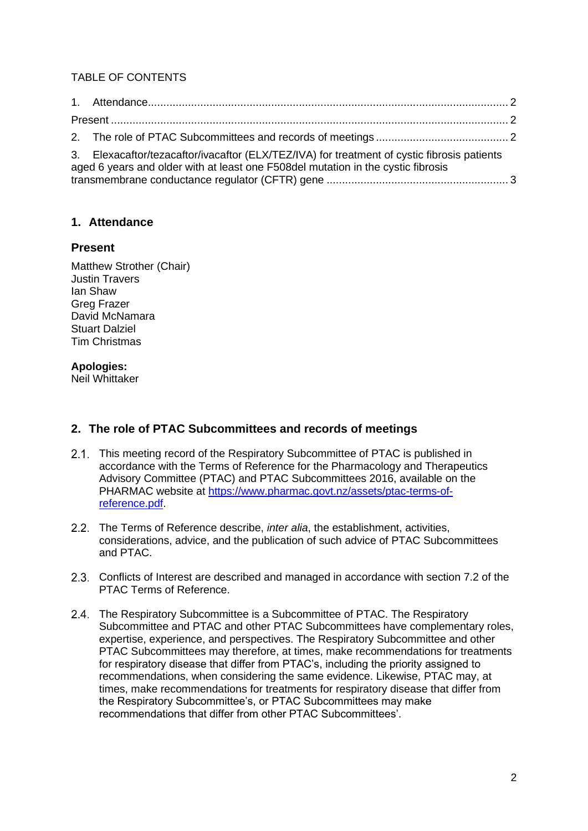# TABLE OF CONTENTS

| 3. Elexacaftor/tezacaftor/ivacaftor (ELX/TEZ/IVA) for treatment of cystic fibrosis patients<br>aged 6 years and older with at least one F508del mutation in the cystic fibrosis |  |
|---------------------------------------------------------------------------------------------------------------------------------------------------------------------------------|--|

## <span id="page-1-0"></span>**1. Attendance**

### <span id="page-1-1"></span>**Present**

Matthew Strother (Chair) Justin Travers Ian Shaw Greg Frazer David McNamara Stuart Dalziel Tim Christmas

### **Apologies:**

Neil Whittaker

# <span id="page-1-2"></span>**2. The role of PTAC Subcommittees and records of meetings**

- 2.1. This meeting record of the Respiratory Subcommittee of PTAC is published in accordance with the Terms of Reference for the Pharmacology and Therapeutics Advisory Committee (PTAC) and PTAC Subcommittees 2016, available on the PHARMAC website at [https://www.pharmac.govt.nz/assets/ptac-terms-of](https://www.pharmac.govt.nz/assets/ptac-terms-of-reference.pdf)[reference.pdf.](https://www.pharmac.govt.nz/assets/ptac-terms-of-reference.pdf)
- The Terms of Reference describe, *inter alia*, the establishment, activities, considerations, advice, and the publication of such advice of PTAC Subcommittees and PTAC.
- Conflicts of Interest are described and managed in accordance with section 7.2 of the PTAC Terms of Reference.
- 2.4. The Respiratory Subcommittee is a Subcommittee of PTAC. The Respiratory Subcommittee and PTAC and other PTAC Subcommittees have complementary roles, expertise, experience, and perspectives. The Respiratory Subcommittee and other PTAC Subcommittees may therefore, at times, make recommendations for treatments for respiratory disease that differ from PTAC's, including the priority assigned to recommendations, when considering the same evidence. Likewise, PTAC may, at times, make recommendations for treatments for respiratory disease that differ from the Respiratory Subcommittee's, or PTAC Subcommittees may make recommendations that differ from other PTAC Subcommittees'.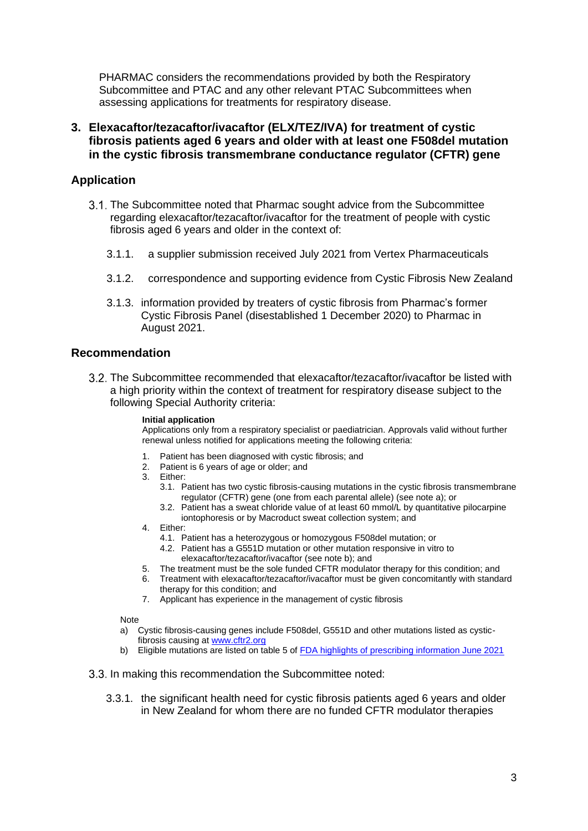PHARMAC considers the recommendations provided by both the Respiratory Subcommittee and PTAC and any other relevant PTAC Subcommittees when assessing applications for treatments for respiratory disease.

<span id="page-2-0"></span>**3. Elexacaftor/tezacaftor/ivacaftor (ELX/TEZ/IVA) for treatment of cystic fibrosis patients aged 6 years and older with at least one F508del mutation in the cystic fibrosis transmembrane conductance regulator (CFTR) gene**

# **Application**

- 3.1. The Subcommittee noted that Pharmac sought advice from the Subcommittee regarding elexacaftor/tezacaftor/ivacaftor for the treatment of people with cystic fibrosis aged 6 years and older in the context of:
	- 3.1.1. a supplier submission received July 2021 from Vertex Pharmaceuticals
	- 3.1.2. correspondence and supporting evidence from Cystic Fibrosis New Zealand
	- 3.1.3. information provided by treaters of cystic fibrosis from Pharmac's former Cystic Fibrosis Panel (disestablished 1 December 2020) to Pharmac in August 2021.

### **Recommendation**

The Subcommittee recommended that elexacaftor/tezacaftor/ivacaftor be listed with a high priority within the context of treatment for respiratory disease subject to the following Special Authority criteria:

#### **Initial application**

Applications only from a respiratory specialist or paediatrician. Approvals valid without further renewal unless notified for applications meeting the following criteria:

- 1. Patient has been diagnosed with cystic fibrosis; and
- 2. Patient is 6 years of age or older; and
- 3. Either:
	- 3.1. Patient has two cystic fibrosis-causing mutations in the cystic fibrosis transmembrane regulator (CFTR) gene (one from each parental allele) (see note a); or
	- 3.2. Patient has a sweat chloride value of at least 60 mmol/L by quantitative pilocarpine iontophoresis or by Macroduct sweat collection system; and
- 4. Either:
	- 4.1. Patient has a heterozygous or homozygous F508del mutation; or
	- 4.2. Patient has a G551D mutation or other mutation responsive in vitro to elexacaftor/tezacaftor/ivacaftor (see note b); and
- 5. The treatment must be the sole funded CFTR modulator therapy for this condition; and
- 6. Treatment with elexacaftor/tezacaftor/ivacaftor must be given concomitantly with standard therapy for this condition; and
- 7. Applicant has experience in the management of cystic fibrosis

Note

- a) Cystic fibrosis-causing genes include F508del, G551D and other mutations listed as cysticfibrosis causing at [www.cftr2.org](http://www.cftr2.org/)
- b) Eligible mutations are listed on table 5 of **FDA highlights of prescribing information June 2021**
- 3.3. In making this recommendation the Subcommittee noted:
	- 3.3.1. the significant health need for cystic fibrosis patients aged 6 years and older in New Zealand for whom there are no funded CFTR modulator therapies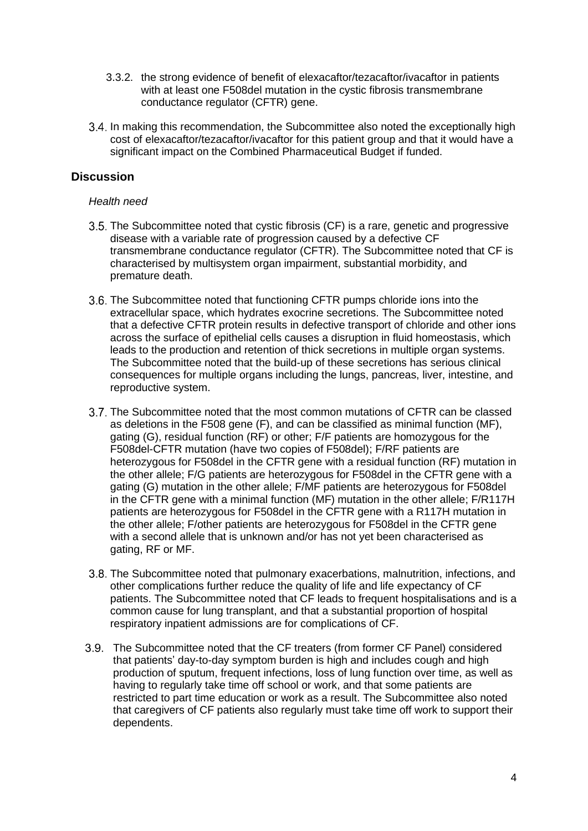- 3.3.2. the strong evidence of benefit of elexacaftor/tezacaftor/ivacaftor in patients with at least one F508del mutation in the cystic fibrosis transmembrane conductance regulator (CFTR) gene.
- 3.4. In making this recommendation, the Subcommittee also noted the exceptionally high cost of elexacaftor/tezacaftor/ivacaftor for this patient group and that it would have a significant impact on the Combined Pharmaceutical Budget if funded.

# **Discussion**

#### *Health need*

- 3.5. The Subcommittee noted that cystic fibrosis (CF) is a rare, genetic and progressive disease with a variable rate of progression caused by a defective CF transmembrane conductance regulator (CFTR). The Subcommittee noted that CF is characterised by multisystem organ impairment, substantial morbidity, and premature death.
- 3.6. The Subcommittee noted that functioning CFTR pumps chloride ions into the extracellular space, which hydrates exocrine secretions. The Subcommittee noted that a defective CFTR protein results in defective transport of chloride and other ions across the surface of epithelial cells causes a disruption in fluid homeostasis, which leads to the production and retention of thick secretions in multiple organ systems. The Subcommittee noted that the build-up of these secretions has serious clinical consequences for multiple organs including the lungs, pancreas, liver, intestine, and reproductive system.
- 3.7. The Subcommittee noted that the most common mutations of CFTR can be classed as deletions in the F508 gene (F), and can be classified as minimal function (MF), gating (G), residual function (RF) or other; F/F patients are homozygous for the F508del-CFTR mutation (have two copies of F508del); F/RF patients are heterozygous for F508del in the CFTR gene with a residual function (RF) mutation in the other allele; F/G patients are heterozygous for F508del in the CFTR gene with a gating (G) mutation in the other allele; F/MF patients are heterozygous for F508del in the CFTR gene with a minimal function (MF) mutation in the other allele; F/R117H patients are heterozygous for F508del in the CFTR gene with a R117H mutation in the other allele; F/other patients are heterozygous for F508del in the CFTR gene with a second allele that is unknown and/or has not yet been characterised as gating, RF or MF.
- 3.8. The Subcommittee noted that pulmonary exacerbations, malnutrition, infections, and other complications further reduce the quality of life and life expectancy of CF patients. The Subcommittee noted that CF leads to frequent hospitalisations and is a common cause for lung transplant, and that a substantial proportion of hospital respiratory inpatient admissions are for complications of CF.
- The Subcommittee noted that the CF treaters (from former CF Panel) considered that patients' day-to-day symptom burden is high and includes cough and high production of sputum, frequent infections, loss of lung function over time, as well as having to regularly take time off school or work, and that some patients are restricted to part time education or work as a result. The Subcommittee also noted that caregivers of CF patients also regularly must take time off work to support their dependents.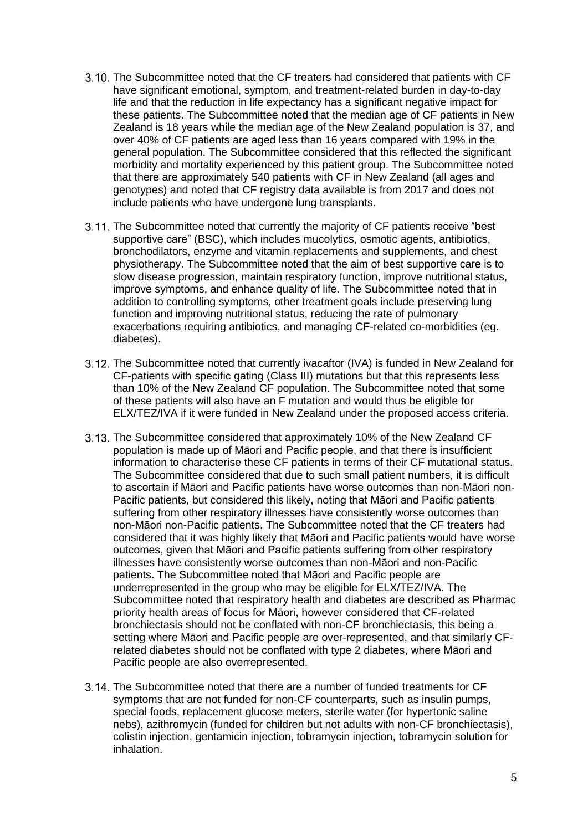- 3.10. The Subcommittee noted that the CF treaters had considered that patients with CF have significant emotional, symptom, and treatment-related burden in day-to-day life and that the reduction in life expectancy has a significant negative impact for these patients. The Subcommittee noted that the median age of CF patients in New Zealand is 18 years while the median age of the New Zealand population is 37, and over 40% of CF patients are aged less than 16 years compared with 19% in the general population. The Subcommittee considered that this reflected the significant morbidity and mortality experienced by this patient group. The Subcommittee noted that there are approximately 540 patients with CF in New Zealand (all ages and genotypes) and noted that CF registry data available is from 2017 and does not include patients who have undergone lung transplants.
- 3.11. The Subcommittee noted that currently the majority of CF patients receive "best supportive care" (BSC), which includes mucolytics, osmotic agents, antibiotics, bronchodilators, enzyme and vitamin replacements and supplements, and chest physiotherapy. The Subcommittee noted that the aim of best supportive care is to slow disease progression, maintain respiratory function, improve nutritional status, improve symptoms, and enhance quality of life. The Subcommittee noted that in addition to controlling symptoms, other treatment goals include preserving lung function and improving nutritional status, reducing the rate of pulmonary exacerbations requiring antibiotics, and managing CF-related co-morbidities (eg. diabetes).
- The Subcommittee noted that currently ivacaftor (IVA) is funded in New Zealand for CF-patients with specific gating (Class III) mutations but that this represents less than 10% of the New Zealand CF population. The Subcommittee noted that some of these patients will also have an F mutation and would thus be eligible for ELX/TEZ/IVA if it were funded in New Zealand under the proposed access criteria.
- 3.13. The Subcommittee considered that approximately 10% of the New Zealand CF population is made up of Māori and Pacific people, and that there is insufficient information to characterise these CF patients in terms of their CF mutational status. The Subcommittee considered that due to such small patient numbers, it is difficult to ascertain if Māori and Pacific patients have worse outcomes than non-Māori non-Pacific patients, but considered this likely, noting that Māori and Pacific patients suffering from other respiratory illnesses have consistently worse outcomes than non-Māori non-Pacific patients. The Subcommittee noted that the CF treaters had considered that it was highly likely that Māori and Pacific patients would have worse outcomes, given that Māori and Pacific patients suffering from other respiratory illnesses have consistently worse outcomes than non-Māori and non-Pacific patients. The Subcommittee noted that Māori and Pacific people are underrepresented in the group who may be eligible for ELX/TEZ/IVA. The Subcommittee noted that respiratory health and diabetes are described as Pharmac priority health areas of focus for Māori, however considered that CF-related bronchiectasis should not be conflated with non-CF bronchiectasis, this being a setting where Māori and Pacific people are over-represented, and that similarly CFrelated diabetes should not be conflated with type 2 diabetes, where Māori and Pacific people are also overrepresented.
- The Subcommittee noted that there are a number of funded treatments for CF symptoms that are not funded for non-CF counterparts, such as insulin pumps, special foods, replacement glucose meters, sterile water (for hypertonic saline nebs), azithromycin (funded for children but not adults with non-CF bronchiectasis), colistin injection, gentamicin injection, tobramycin injection, tobramycin solution for inhalation.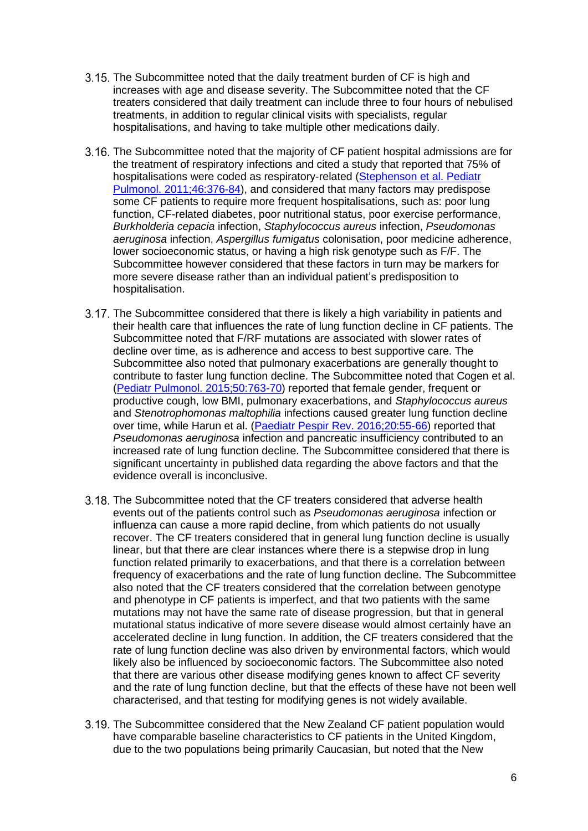- 3.15. The Subcommittee noted that the daily treatment burden of CF is high and increases with age and disease severity. The Subcommittee noted that the CF treaters considered that daily treatment can include three to four hours of nebulised treatments, in addition to regular clinical visits with specialists, regular hospitalisations, and having to take multiple other medications daily.
- 3.16. The Subcommittee noted that the majority of CF patient hospital admissions are for the treatment of respiratory infections and cited a study that reported that 75% of hospitalisations were coded as respiratory-related [\(Stephenson et al. Pediatr](https://pubmed.ncbi.nlm.nih.gov/20967840/)  [Pulmonol. 2011;46:376-84\)](https://pubmed.ncbi.nlm.nih.gov/20967840/), and considered that many factors may predispose some CF patients to require more frequent hospitalisations, such as: poor lung function, CF-related diabetes, poor nutritional status, poor exercise performance, *Burkholderia cepacia* infection, *Staphylococcus aureus* infection, *Pseudomonas aeruginosa* infection, *Aspergillus fumigatus* colonisation, poor medicine adherence, lower socioeconomic status, or having a high risk genotype such as F/F. The Subcommittee however considered that these factors in turn may be markers for more severe disease rather than an individual patient's predisposition to hospitalisation.
- 3.17. The Subcommittee considered that there is likely a high variability in patients and their health care that influences the rate of lung function decline in CF patients. The Subcommittee noted that F/RF mutations are associated with slower rates of decline over time, as is adherence and access to best supportive care. The Subcommittee also noted that pulmonary exacerbations are generally thought to contribute to faster lung function decline. The Subcommittee noted that Cogen et al. [\(Pediatr Pulmonol. 2015;50:763-70\)](https://pubmed.ncbi.nlm.nih.gov/26061914/) reported that female gender, frequent or productive cough, low BMI, pulmonary exacerbations, and *Staphylococcus aureus* and *Stenotrophomonas maltophilia* infections caused greater lung function decline over time, while Harun et al. [\(Paediatr Pespir Rev. 2016;20:55-66\)](https://pubmed.ncbi.nlm.nih.gov/27259460/) reported that *Pseudomonas aeruginosa* infection and pancreatic insufficiency contributed to an increased rate of lung function decline. The Subcommittee considered that there is significant uncertainty in published data regarding the above factors and that the evidence overall is inconclusive.
- 3.18. The Subcommittee noted that the CF treaters considered that adverse health events out of the patients control such as *Pseudomonas aeruginosa* infection or influenza can cause a more rapid decline, from which patients do not usually recover. The CF treaters considered that in general lung function decline is usually linear, but that there are clear instances where there is a stepwise drop in lung function related primarily to exacerbations, and that there is a correlation between frequency of exacerbations and the rate of lung function decline. The Subcommittee also noted that the CF treaters considered that the correlation between genotype and phenotype in CF patients is imperfect, and that two patients with the same mutations may not have the same rate of disease progression, but that in general mutational status indicative of more severe disease would almost certainly have an accelerated decline in lung function. In addition, the CF treaters considered that the rate of lung function decline was also driven by environmental factors, which would likely also be influenced by socioeconomic factors. The Subcommittee also noted that there are various other disease modifying genes known to affect CF severity and the rate of lung function decline, but that the effects of these have not been well characterised, and that testing for modifying genes is not widely available.
- The Subcommittee considered that the New Zealand CF patient population would have comparable baseline characteristics to CF patients in the United Kingdom, due to the two populations being primarily Caucasian, but noted that the New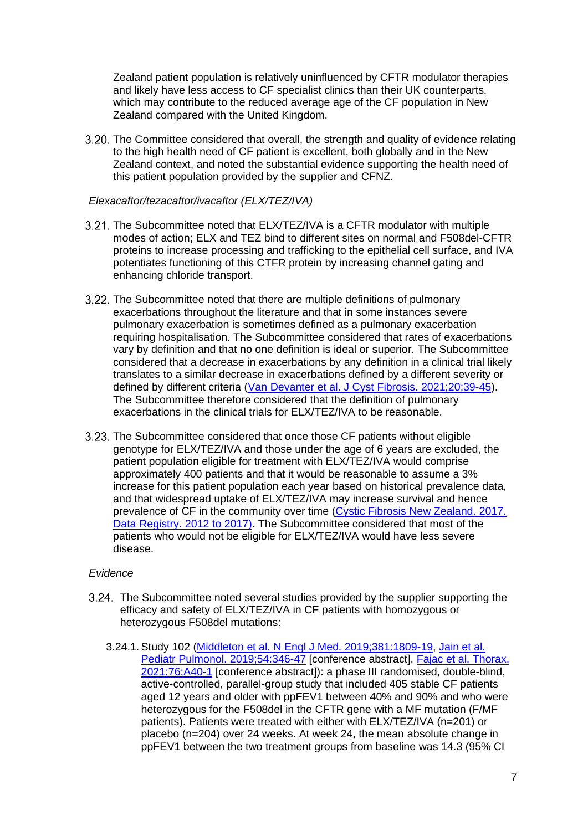Zealand patient population is relatively uninfluenced by CFTR modulator therapies and likely have less access to CF specialist clinics than their UK counterparts, which may contribute to the reduced average age of the CF population in New Zealand compared with the United Kingdom.

3.20. The Committee considered that overall, the strength and quality of evidence relating to the high health need of CF patient is excellent, both globally and in the New Zealand context, and noted the substantial evidence supporting the health need of this patient population provided by the supplier and CFNZ.

#### *Elexacaftor/tezacaftor/ivacaftor (ELX/TEZ/IVA)*

- 3.21. The Subcommittee noted that ELX/TEZ/IVA is a CFTR modulator with multiple modes of action; ELX and TEZ bind to different sites on normal and F508del-CFTR proteins to increase processing and trafficking to the epithelial cell surface, and IVA potentiates functioning of this CTFR protein by increasing channel gating and enhancing chloride transport.
- 3.22. The Subcommittee noted that there are multiple definitions of pulmonary exacerbations throughout the literature and that in some instances severe pulmonary exacerbation is sometimes defined as a pulmonary exacerbation requiring hospitalisation. The Subcommittee considered that rates of exacerbations vary by definition and that no one definition is ideal or superior. The Subcommittee considered that a decrease in exacerbations by any definition in a clinical trial likely translates to a similar decrease in exacerbations defined by a different severity or defined by different criteria (Van [Devanter et al. J Cyst Fibrosis. 2021;20:39-45\)](https://pubmed.ncbi.nlm.nih.gov/32682670/). The Subcommittee therefore considered that the definition of pulmonary exacerbations in the clinical trials for ELX/TEZ/IVA to be reasonable.
- The Subcommittee considered that once those CF patients without eligible genotype for ELX/TEZ/IVA and those under the age of 6 years are excluded, the patient population eligible for treatment with ELX/TEZ/IVA would comprise approximately 400 patients and that it would be reasonable to assume a 3% increase for this patient population each year based on historical prevalence data, and that widespread uptake of ELX/TEZ/IVA may increase survival and hence prevalence of CF in the community over time [\(Cystic Fibrosis New Zealand.](https://www.cfnz.org.nz/what-we-do/port-cf-data-registry/) 2017. [Data Registry.](https://www.cfnz.org.nz/what-we-do/port-cf-data-registry/) 2012 to 2017). The Subcommittee considered that most of the patients who would not be eligible for ELX/TEZ/IVA would have less severe disease.

### *Evidence*

- The Subcommittee noted several studies provided by the supplier supporting the efficacy and safety of ELX/TEZ/IVA in CF patients with homozygous or heterozygous F508del mutations:
	- 3.24.1. Study 102 [\(Middleton et al. N Engl J Med. 2019;381:1809-19,](https://www.ncbi.nlm.nih.gov/pmc/articles/PMC7282384/) [Jain et al.](https://www.cochranelibrary.com/central/doi/10.1002/central/CN-01987255/full)  [Pediatr Pulmonol. 2019;54:346-47](https://www.cochranelibrary.com/central/doi/10.1002/central/CN-01987255/full) [conference abstract], Fajac et al. Thorax. [2021;76:A40-1](https://thorax.bmj.com/content/76/Suppl_1/A40.2) [conference abstract]): a phase III randomised, double-blind, active-controlled, parallel-group study that included 405 stable CF patients aged 12 years and older with ppFEV1 between 40% and 90% and who were heterozygous for the F508del in the CFTR gene with a MF mutation (F/MF patients). Patients were treated with either with ELX/TEZ/IVA (n=201) or placebo (n=204) over 24 weeks. At week 24, the mean absolute change in ppFEV1 between the two treatment groups from baseline was 14.3 (95% CI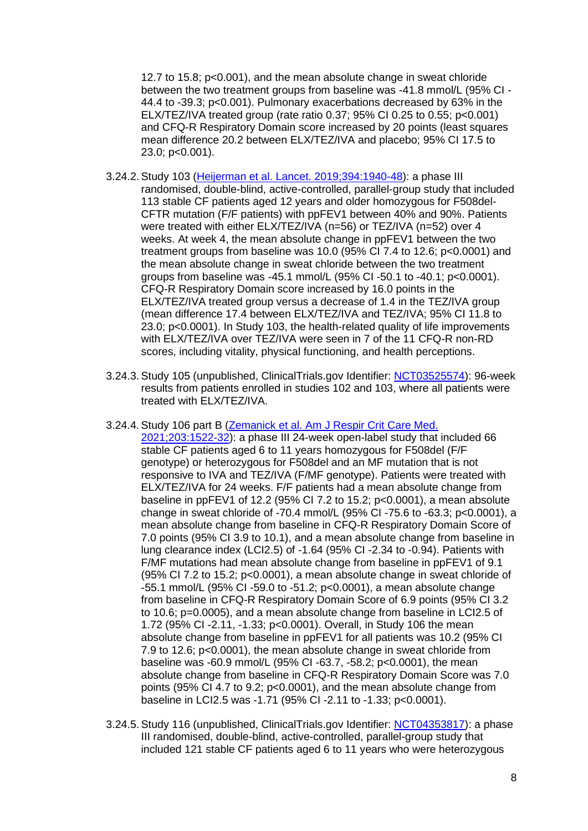12.7 to 15.8; p<0.001), and the mean absolute change in sweat chloride between the two treatment groups from baseline was -41.8 mmol/L (95% CI - 44.4 to -39.3; p<0.001). Pulmonary exacerbations decreased by 63% in the ELX/TEZ/IVA treated group (rate ratio 0.37; 95% CI 0.25 to 0.55; p<0.001) and CFQ-R Respiratory Domain score increased by 20 points (least squares mean difference 20.2 between ELX/TEZ/IVA and placebo; 95% CI 17.5 to 23.0; p<0.001).

- 3.24.2. Study 103 [\(Heijerman et al. Lancet. 2019;394:1940-48\)](https://www.ncbi.nlm.nih.gov/pmc/articles/PMC7571408/): a phase III randomised, double-blind, active-controlled, parallel-group study that included 113 stable CF patients aged 12 years and older homozygous for F508del-CFTR mutation (F/F patients) with ppFEV1 between 40% and 90%. Patients were treated with either ELX/TEZ/IVA (n=56) or TEZ/IVA (n=52) over 4 weeks. At week 4, the mean absolute change in ppFEV1 between the two treatment groups from baseline was 10.0 (95% CI 7.4 to 12.6; p<0.0001) and the mean absolute change in sweat chloride between the two treatment groups from baseline was -45.1 mmol/L (95% CI -50.1 to -40.1; p<0.0001). CFQ-R Respiratory Domain score increased by 16.0 points in the ELX/TEZ/IVA treated group versus a decrease of 1.4 in the TEZ/IVA group (mean difference 17.4 between ELX/TEZ/IVA and TEZ/IVA; 95% CI 11.8 to 23.0; p<0.0001). In Study 103, the health-related quality of life improvements with ELX/TEZ/IVA over TEZ/IVA were seen in 7 of the 11 CFQ-R non-RD scores, including vitality, physical functioning, and health perceptions.
- 3.24.3. Study 105 (unpublished, ClinicalTrials.gov Identifier: [NCT03525574\)](https://clinicaltrials.gov/ct2/show/record/NCT03525574?term=NCT03525574&draw=2&rank=1): 96-week results from patients enrolled in studies 102 and 103, where all patients were treated with ELX/TEZ/IVA.
- 3.24.4. Study 106 part B [\(Zemanick et al. Am J Respir Crit Care Med.](https://www.atsjournals.org/doi/10.1164/rccm.202102-0509OC?url_ver=Z39.88-2003&rfr_id=ori%3Arid%3Acrossref.org&rfr_dat=cr_pub++0pubmed&)

[2021;203:1522-32\)](https://www.atsjournals.org/doi/10.1164/rccm.202102-0509OC?url_ver=Z39.88-2003&rfr_id=ori%3Arid%3Acrossref.org&rfr_dat=cr_pub++0pubmed&): a phase III 24-week open-label study that included 66 stable CF patients aged 6 to 11 years homozygous for F508del (F/F genotype) or heterozygous for F508del and an MF mutation that is not responsive to IVA and TEZ/IVA (F/MF genotype). Patients were treated with ELX/TEZ/IVA for 24 weeks. F/F patients had a mean absolute change from baseline in ppFEV1 of 12.2 (95% CI 7.2 to 15.2; p<0.0001), a mean absolute change in sweat chloride of -70.4 mmol/L (95% CI -75.6 to -63.3; p<0.0001), a mean absolute change from baseline in CFQ-R Respiratory Domain Score of 7.0 points (95% CI 3.9 to 10.1), and a mean absolute change from baseline in lung clearance index (LCI2.5) of -1.64 (95% CI -2.34 to -0.94). Patients with F/MF mutations had mean absolute change from baseline in ppFEV1 of 9.1 (95% CI 7.2 to 15.2; p<0.0001), a mean absolute change in sweat chloride of -55.1 mmol/L (95% CI -59.0 to -51.2; p<0.0001), a mean absolute change from baseline in CFQ-R Respiratory Domain Score of 6.9 points (95% CI 3.2 to 10.6; p=0.0005), and a mean absolute change from baseline in LCI2.5 of 1.72 (95% CI -2.11, -1.33; p<0.0001). Overall, in Study 106 the mean absolute change from baseline in ppFEV1 for all patients was 10.2 (95% CI 7.9 to 12.6; p<0.0001), the mean absolute change in sweat chloride from baseline was -60.9 mmol/L (95% CI -63.7, -58.2; p<0.0001), the mean absolute change from baseline in CFQ-R Respiratory Domain Score was 7.0 points (95% CI 4.7 to 9.2; p<0.0001), and the mean absolute change from baseline in LCI2.5 was -1.71 (95% CI -2.11 to -1.33; p<0.0001).

3.24.5. Study 116 (unpublished, ClinicalTrials.gov Identifier: [NCT04353817\)](https://clinicaltrials.gov/ct2/show/record/NCT04353817?term=NCT04353817&draw=2&rank=1): a phase III randomised, double-blind, active-controlled, parallel-group study that included 121 stable CF patients aged 6 to 11 years who were heterozygous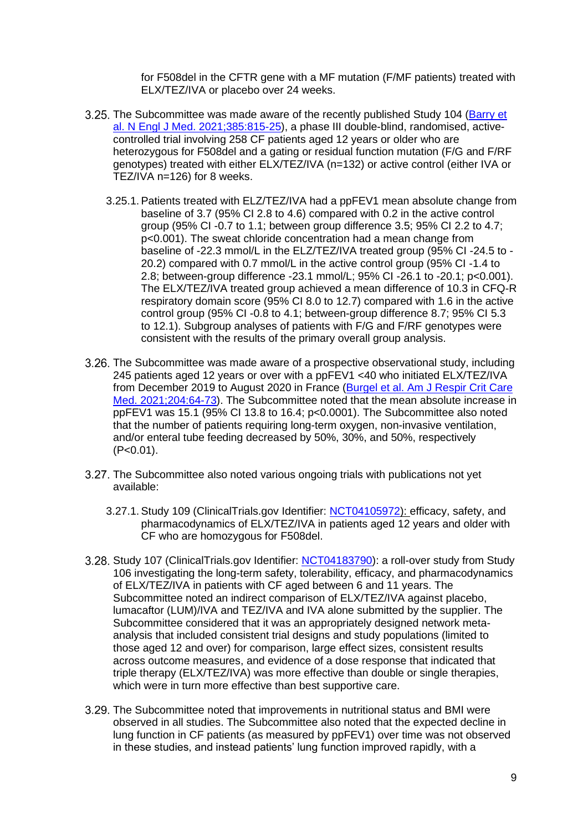for F508del in the CFTR gene with a MF mutation (F/MF patients) treated with ELX/TEZ/IVA or placebo over 24 weeks.

- 3.25. The Subcommittee was made aware of the recently published Study 104 (Barry et [al. N Engl J Med. 2021;385:815-25\)](https://pubmed.ncbi.nlm.nih.gov/34437784/), a phase III double-blind, randomised, activecontrolled trial involving 258 CF patients aged 12 years or older who are heterozygous for F508del and a gating or residual function mutation (F/G and F/RF genotypes) treated with either ELX/TEZ/IVA (n=132) or active control (either IVA or TEZ/IVA n=126) for 8 weeks.
	- 3.25.1. Patients treated with ELZ/TEZ/IVA had a ppFEV1 mean absolute change from baseline of 3.7 (95% CI 2.8 to 4.6) compared with 0.2 in the active control group (95% CI -0.7 to 1.1; between group difference 3.5; 95% CI 2.2 to 4.7; p<0.001). The sweat chloride concentration had a mean change from baseline of -22.3 mmol/L in the ELZ/TEZ/IVA treated group (95% CI -24.5 to - 20.2) compared with 0.7 mmol/L in the active control group (95% CI -1.4 to 2.8; between-group difference -23.1 mmol/L; 95% CI -26.1 to -20.1; p<0.001). The ELX/TEZ/IVA treated group achieved a mean difference of 10.3 in CFQ-R respiratory domain score (95% CI 8.0 to 12.7) compared with 1.6 in the active control group (95% CI -0.8 to 4.1; between-group difference 8.7; 95% CI 5.3 to 12.1). Subgroup analyses of patients with F/G and F/RF genotypes were consistent with the results of the primary overall group analysis.
- The Subcommittee was made aware of a prospective observational study, including 245 patients aged 12 years or over with a ppFEV1 <40 who initiated ELX/TEZ/IVA from December 2019 to August 2020 in France [\(Burgel et al. Am J Respir Crit Care](https://pubmed.ncbi.nlm.nih.gov/33600738/)  [Med. 2021;204:64-73\)](https://pubmed.ncbi.nlm.nih.gov/33600738/). The Subcommittee noted that the mean absolute increase in ppFEV1 was 15.1 (95% CI 13.8 to 16.4; p<0.0001). The Subcommittee also noted that the number of patients requiring long-term oxygen, non-invasive ventilation, and/or enteral tube feeding decreased by 50%, 30%, and 50%, respectively  $(P<0.01)$ .
- 3.27. The Subcommittee also noted various ongoing trials with publications not yet available:
	- 3.27.1. Study 109 (ClinicalTrials.gov Identifier: [NCT04105972\)](https://clinicaltrials.gov/ct2/show/record/NCT04105972?term=NCT04105972&draw=2&rank=1): efficacy, safety, and pharmacodynamics of ELX/TEZ/IVA in patients aged 12 years and older with CF who are homozygous for F508del.
- 3.28. Study 107 (ClinicalTrials.gov Identifier: [NCT04183790\)](https://clinicaltrials.gov/ct2/show/record/NCT04183790?term=NCT04183790&draw=2&rank=1): a roll-over study from Study 106 investigating the long-term safety, tolerability, efficacy, and pharmacodynamics of ELX/TEZ/IVA in patients with CF aged between 6 and 11 years. The Subcommittee noted an indirect comparison of ELX/TEZ/IVA against placebo, lumacaftor (LUM)/IVA and TEZ/IVA and IVA alone submitted by the supplier. The Subcommittee considered that it was an appropriately designed network metaanalysis that included consistent trial designs and study populations (limited to those aged 12 and over) for comparison, large effect sizes, consistent results across outcome measures, and evidence of a dose response that indicated that triple therapy (ELX/TEZ/IVA) was more effective than double or single therapies, which were in turn more effective than best supportive care.
- The Subcommittee noted that improvements in nutritional status and BMI were observed in all studies. The Subcommittee also noted that the expected decline in lung function in CF patients (as measured by ppFEV1) over time was not observed in these studies, and instead patients' lung function improved rapidly, with a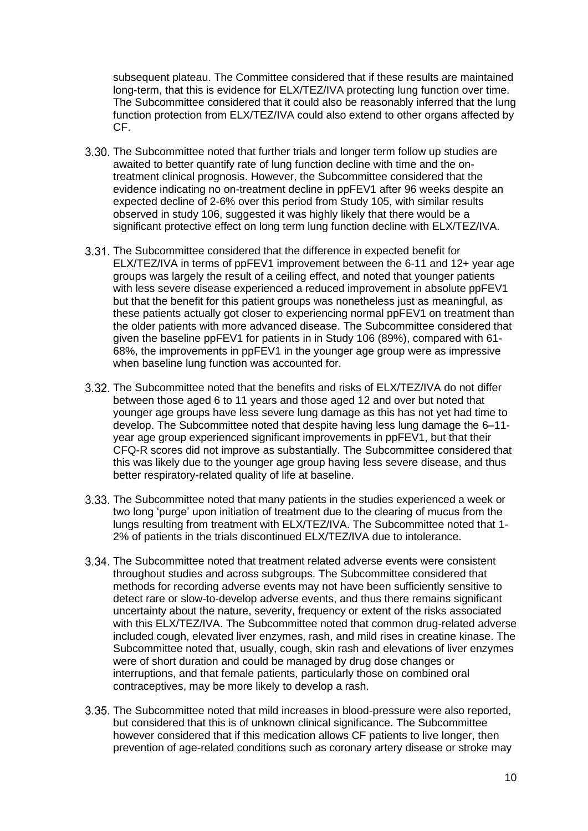subsequent plateau. The Committee considered that if these results are maintained long-term, that this is evidence for ELX/TEZ/IVA protecting lung function over time. The Subcommittee considered that it could also be reasonably inferred that the lung function protection from ELX/TEZ/IVA could also extend to other organs affected by CF.

- 3.30. The Subcommittee noted that further trials and longer term follow up studies are awaited to better quantify rate of lung function decline with time and the ontreatment clinical prognosis. However, the Subcommittee considered that the evidence indicating no on-treatment decline in ppFEV1 after 96 weeks despite an expected decline of 2-6% over this period from Study 105, with similar results observed in study 106, suggested it was highly likely that there would be a significant protective effect on long term lung function decline with ELX/TEZ/IVA.
- The Subcommittee considered that the difference in expected benefit for ELX/TEZ/IVA in terms of ppFEV1 improvement between the 6-11 and 12+ year age groups was largely the result of a ceiling effect, and noted that younger patients with less severe disease experienced a reduced improvement in absolute ppFEV1 but that the benefit for this patient groups was nonetheless just as meaningful, as these patients actually got closer to experiencing normal ppFEV1 on treatment than the older patients with more advanced disease. The Subcommittee considered that given the baseline ppFEV1 for patients in in Study 106 (89%), compared with 61- 68%, the improvements in ppFEV1 in the younger age group were as impressive when baseline lung function was accounted for.
- The Subcommittee noted that the benefits and risks of ELX/TEZ/IVA do not differ between those aged 6 to 11 years and those aged 12 and over but noted that younger age groups have less severe lung damage as this has not yet had time to develop. The Subcommittee noted that despite having less lung damage the 6–11 year age group experienced significant improvements in ppFEV1, but that their CFQ-R scores did not improve as substantially. The Subcommittee considered that this was likely due to the younger age group having less severe disease, and thus better respiratory-related quality of life at baseline.
- 3.33. The Subcommittee noted that many patients in the studies experienced a week or two long 'purge' upon initiation of treatment due to the clearing of mucus from the lungs resulting from treatment with ELX/TEZ/IVA. The Subcommittee noted that 1- 2% of patients in the trials discontinued ELX/TEZ/IVA due to intolerance.
- The Subcommittee noted that treatment related adverse events were consistent throughout studies and across subgroups. The Subcommittee considered that methods for recording adverse events may not have been sufficiently sensitive to detect rare or slow-to-develop adverse events, and thus there remains significant uncertainty about the nature, severity, frequency or extent of the risks associated with this ELX/TEZ/IVA. The Subcommittee noted that common drug-related adverse included cough, elevated liver enzymes, rash, and mild rises in creatine kinase. The Subcommittee noted that, usually, cough, skin rash and elevations of liver enzymes were of short duration and could be managed by drug dose changes or interruptions, and that female patients, particularly those on combined oral contraceptives, may be more likely to develop a rash.
- The Subcommittee noted that mild increases in blood-pressure were also reported, but considered that this is of unknown clinical significance. The Subcommittee however considered that if this medication allows CF patients to live longer, then prevention of age-related conditions such as coronary artery disease or stroke may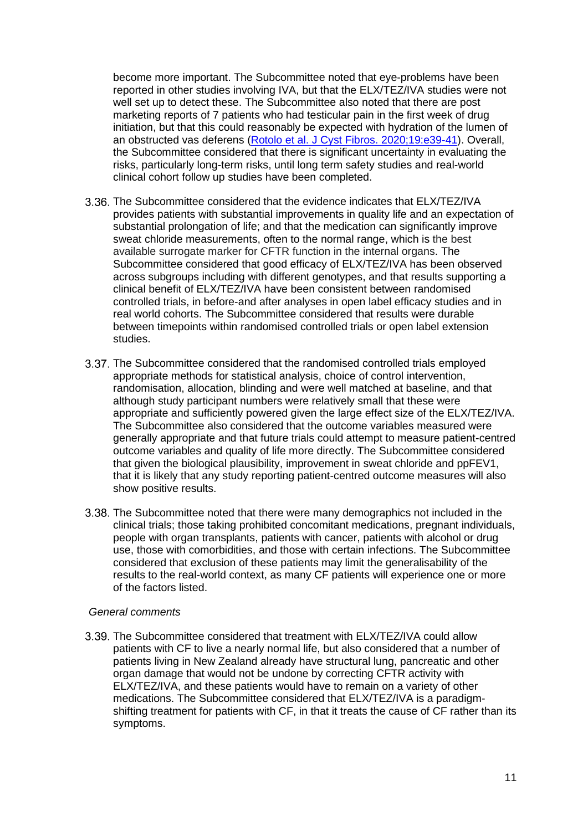become more important. The Subcommittee noted that eye-problems have been reported in other studies involving IVA, but that the ELX/TEZ/IVA studies were not well set up to detect these. The Subcommittee also noted that there are post marketing reports of 7 patients who had testicular pain in the first week of drug initiation, but that this could reasonably be expected with hydration of the lumen of an obstructed vas deferens [\(Rotolo et al. J Cyst Fibros. 2020;19:e39-41\)](https://pubmed.ncbi.nlm.nih.gov/32471772/). Overall, the Subcommittee considered that there is significant uncertainty in evaluating the risks, particularly long-term risks, until long term safety studies and real-world clinical cohort follow up studies have been completed.

- The Subcommittee considered that the evidence indicates that ELX/TEZ/IVA provides patients with substantial improvements in quality life and an expectation of substantial prolongation of life; and that the medication can significantly improve sweat chloride measurements, often to the normal range, which is the best available surrogate marker for CFTR function in the internal organs. The Subcommittee considered that good efficacy of ELX/TEZ/IVA has been observed across subgroups including with different genotypes, and that results supporting a clinical benefit of ELX/TEZ/IVA have been consistent between randomised controlled trials, in before-and after analyses in open label efficacy studies and in real world cohorts. The Subcommittee considered that results were durable between timepoints within randomised controlled trials or open label extension studies.
- The Subcommittee considered that the randomised controlled trials employed appropriate methods for statistical analysis, choice of control intervention, randomisation, allocation, blinding and were well matched at baseline, and that although study participant numbers were relatively small that these were appropriate and sufficiently powered given the large effect size of the ELX/TEZ/IVA. The Subcommittee also considered that the outcome variables measured were generally appropriate and that future trials could attempt to measure patient-centred outcome variables and quality of life more directly. The Subcommittee considered that given the biological plausibility, improvement in sweat chloride and ppFEV1, that it is likely that any study reporting patient-centred outcome measures will also show positive results.
- 3.38. The Subcommittee noted that there were many demographics not included in the clinical trials; those taking prohibited concomitant medications, pregnant individuals, people with organ transplants, patients with cancer, patients with alcohol or drug use, those with comorbidities, and those with certain infections. The Subcommittee considered that exclusion of these patients may limit the generalisability of the results to the real-world context, as many CF patients will experience one or more of the factors listed.

#### *General comments*

The Subcommittee considered that treatment with ELX/TEZ/IVA could allow patients with CF to live a nearly normal life, but also considered that a number of patients living in New Zealand already have structural lung, pancreatic and other organ damage that would not be undone by correcting CFTR activity with ELX/TEZ/IVA, and these patients would have to remain on a variety of other medications. The Subcommittee considered that ELX/TEZ/IVA is a paradigmshifting treatment for patients with CF, in that it treats the cause of CF rather than its symptoms.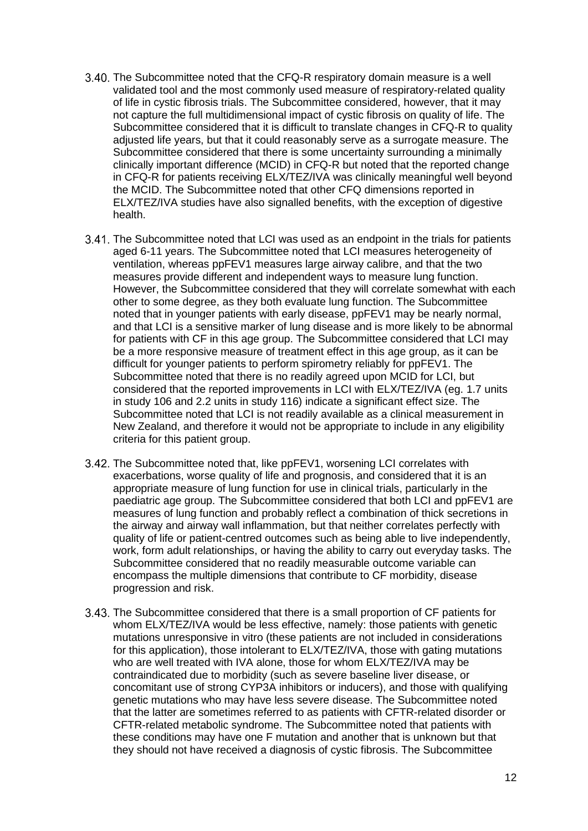- 3.40. The Subcommittee noted that the CFQ-R respiratory domain measure is a well validated tool and the most commonly used measure of respiratory-related quality of life in cystic fibrosis trials. The Subcommittee considered, however, that it may not capture the full multidimensional impact of cystic fibrosis on quality of life. The Subcommittee considered that it is difficult to translate changes in CFQ-R to quality adjusted life years, but that it could reasonably serve as a surrogate measure. The Subcommittee considered that there is some uncertainty surrounding a minimally clinically important difference (MCID) in CFQ-R but noted that the reported change in CFQ-R for patients receiving ELX/TEZ/IVA was clinically meaningful well beyond the MCID. The Subcommittee noted that other CFQ dimensions reported in ELX/TEZ/IVA studies have also signalled benefits, with the exception of digestive health.
- The Subcommittee noted that LCI was used as an endpoint in the trials for patients aged 6-11 years. The Subcommittee noted that LCI measures heterogeneity of ventilation, whereas ppFEV1 measures large airway calibre, and that the two measures provide different and independent ways to measure lung function. However, the Subcommittee considered that they will correlate somewhat with each other to some degree, as they both evaluate lung function. The Subcommittee noted that in younger patients with early disease, ppFEV1 may be nearly normal, and that LCI is a sensitive marker of lung disease and is more likely to be abnormal for patients with CF in this age group. The Subcommittee considered that LCI may be a more responsive measure of treatment effect in this age group, as it can be difficult for younger patients to perform spirometry reliably for ppFEV1. The Subcommittee noted that there is no readily agreed upon MCID for LCI, but considered that the reported improvements in LCI with ELX/TEZ/IVA (eg. 1.7 units in study 106 and 2.2 units in study 116) indicate a significant effect size. The Subcommittee noted that LCI is not readily available as a clinical measurement in New Zealand, and therefore it would not be appropriate to include in any eligibility criteria for this patient group.
- The Subcommittee noted that, like ppFEV1, worsening LCI correlates with exacerbations, worse quality of life and prognosis, and considered that it is an appropriate measure of lung function for use in clinical trials, particularly in the paediatric age group. The Subcommittee considered that both LCI and ppFEV1 are measures of lung function and probably reflect a combination of thick secretions in the airway and airway wall inflammation, but that neither correlates perfectly with quality of life or patient-centred outcomes such as being able to live independently, work, form adult relationships, or having the ability to carry out everyday tasks. The Subcommittee considered that no readily measurable outcome variable can encompass the multiple dimensions that contribute to CF morbidity, disease progression and risk.
- 3.43. The Subcommittee considered that there is a small proportion of CF patients for whom ELX/TEZ/IVA would be less effective, namely: those patients with genetic mutations unresponsive in vitro (these patients are not included in considerations for this application), those intolerant to ELX/TEZ/IVA, those with gating mutations who are well treated with IVA alone, those for whom ELX/TEZ/IVA may be contraindicated due to morbidity (such as severe baseline liver disease, or concomitant use of strong CYP3A inhibitors or inducers), and those with qualifying genetic mutations who may have less severe disease. The Subcommittee noted that the latter are sometimes referred to as patients with CFTR-related disorder or CFTR-related metabolic syndrome. The Subcommittee noted that patients with these conditions may have one F mutation and another that is unknown but that they should not have received a diagnosis of cystic fibrosis. The Subcommittee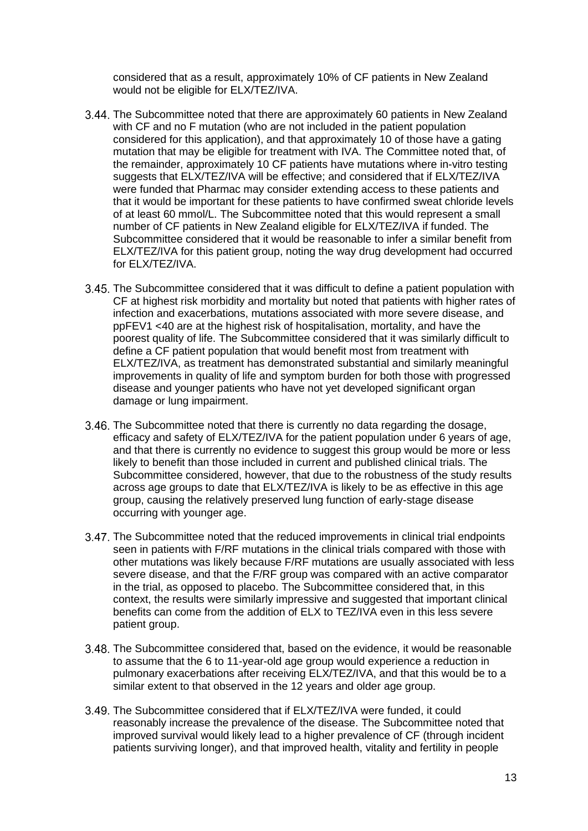considered that as a result, approximately 10% of CF patients in New Zealand would not be eligible for ELX/TEZ/IVA.

- The Subcommittee noted that there are approximately 60 patients in New Zealand with CF and no F mutation (who are not included in the patient population considered for this application), and that approximately 10 of those have a gating mutation that may be eligible for treatment with IVA. The Committee noted that, of the remainder, approximately 10 CF patients have mutations where in-vitro testing suggests that ELX/TEZ/IVA will be effective; and considered that if ELX/TEZ/IVA were funded that Pharmac may consider extending access to these patients and that it would be important for these patients to have confirmed sweat chloride levels of at least 60 mmol/L. The Subcommittee noted that this would represent a small number of CF patients in New Zealand eligible for ELX/TEZ/IVA if funded. The Subcommittee considered that it would be reasonable to infer a similar benefit from ELX/TEZ/IVA for this patient group, noting the way drug development had occurred for ELX/TEZ/IVA.
- The Subcommittee considered that it was difficult to define a patient population with CF at highest risk morbidity and mortality but noted that patients with higher rates of infection and exacerbations, mutations associated with more severe disease, and ppFEV1 <40 are at the highest risk of hospitalisation, mortality, and have the poorest quality of life. The Subcommittee considered that it was similarly difficult to define a CF patient population that would benefit most from treatment with ELX/TEZ/IVA, as treatment has demonstrated substantial and similarly meaningful improvements in quality of life and symptom burden for both those with progressed disease and younger patients who have not yet developed significant organ damage or lung impairment.
- 3.46. The Subcommittee noted that there is currently no data regarding the dosage, efficacy and safety of ELX/TEZ/IVA for the patient population under 6 years of age, and that there is currently no evidence to suggest this group would be more or less likely to benefit than those included in current and published clinical trials. The Subcommittee considered, however, that due to the robustness of the study results across age groups to date that ELX/TEZ/IVA is likely to be as effective in this age group, causing the relatively preserved lung function of early-stage disease occurring with younger age.
- The Subcommittee noted that the reduced improvements in clinical trial endpoints seen in patients with F/RF mutations in the clinical trials compared with those with other mutations was likely because F/RF mutations are usually associated with less severe disease, and that the F/RF group was compared with an active comparator in the trial, as opposed to placebo. The Subcommittee considered that, in this context, the results were similarly impressive and suggested that important clinical benefits can come from the addition of ELX to TEZ/IVA even in this less severe patient group.
- The Subcommittee considered that, based on the evidence, it would be reasonable to assume that the 6 to 11-year-old age group would experience a reduction in pulmonary exacerbations after receiving ELX/TEZ/IVA, and that this would be to a similar extent to that observed in the 12 years and older age group.
- 3.49. The Subcommittee considered that if ELX/TEZ/IVA were funded, it could reasonably increase the prevalence of the disease. The Subcommittee noted that improved survival would likely lead to a higher prevalence of CF (through incident patients surviving longer), and that improved health, vitality and fertility in people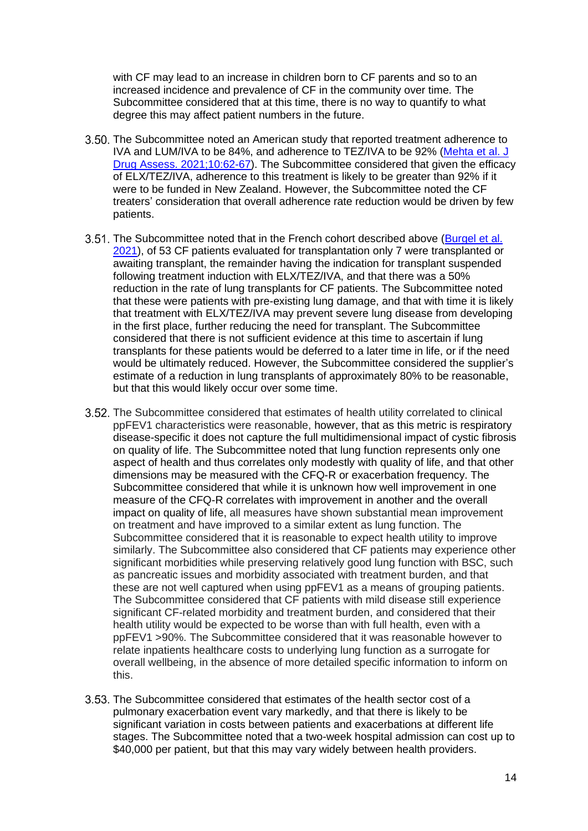with CF may lead to an increase in children born to CF parents and so to an increased incidence and prevalence of CF in the community over time. The Subcommittee considered that at this time, there is no way to quantify to what degree this may affect patient numbers in the future.

- 3.50. The Subcommittee noted an American study that reported treatment adherence to IVA and LUM/IVA to be 84%, and adherence to TEZ/IVA to be 92% [\(Mehta et al. J](https://pubmed.ncbi.nlm.nih.gov/33968464/)  [Drug Assess. 2021;10:62-67\)](https://pubmed.ncbi.nlm.nih.gov/33968464/). The Subcommittee considered that given the efficacy of ELX/TEZ/IVA, adherence to this treatment is likely to be greater than 92% if it were to be funded in New Zealand. However, the Subcommittee noted the CF treaters' consideration that overall adherence rate reduction would be driven by few patients.
- 3.51. The Subcommittee noted that in the French cohort described above (Burgel et al. [2021\)](https://pubmed.ncbi.nlm.nih.gov/33600738/), of 53 CF patients evaluated for transplantation only 7 were transplanted or awaiting transplant, the remainder having the indication for transplant suspended following treatment induction with ELX/TEZ/IVA, and that there was a 50% reduction in the rate of lung transplants for CF patients. The Subcommittee noted that these were patients with pre-existing lung damage, and that with time it is likely that treatment with ELX/TEZ/IVA may prevent severe lung disease from developing in the first place, further reducing the need for transplant. The Subcommittee considered that there is not sufficient evidence at this time to ascertain if lung transplants for these patients would be deferred to a later time in life, or if the need would be ultimately reduced. However, the Subcommittee considered the supplier's estimate of a reduction in lung transplants of approximately 80% to be reasonable, but that this would likely occur over some time.
- The Subcommittee considered that estimates of health utility correlated to clinical ppFEV1 characteristics were reasonable, however, that as this metric is respiratory disease-specific it does not capture the full multidimensional impact of cystic fibrosis on quality of life. The Subcommittee noted that lung function represents only one aspect of health and thus correlates only modestly with quality of life, and that other dimensions may be measured with the CFQ-R or exacerbation frequency. The Subcommittee considered that while it is unknown how well improvement in one measure of the CFQ-R correlates with improvement in another and the overall impact on quality of life, all measures have shown substantial mean improvement on treatment and have improved to a similar extent as lung function. The Subcommittee considered that it is reasonable to expect health utility to improve similarly. The Subcommittee also considered that CF patients may experience other significant morbidities while preserving relatively good lung function with BSC, such as pancreatic issues and morbidity associated with treatment burden, and that these are not well captured when using ppFEV1 as a means of grouping patients. The Subcommittee considered that CF patients with mild disease still experience significant CF-related morbidity and treatment burden, and considered that their health utility would be expected to be worse than with full health, even with a ppFEV1 >90%. The Subcommittee considered that it was reasonable however to relate inpatients healthcare costs to underlying lung function as a surrogate for overall wellbeing, in the absence of more detailed specific information to inform on this.
- The Subcommittee considered that estimates of the health sector cost of a pulmonary exacerbation event vary markedly, and that there is likely to be significant variation in costs between patients and exacerbations at different life stages. The Subcommittee noted that a two-week hospital admission can cost up to \$40,000 per patient, but that this may vary widely between health providers.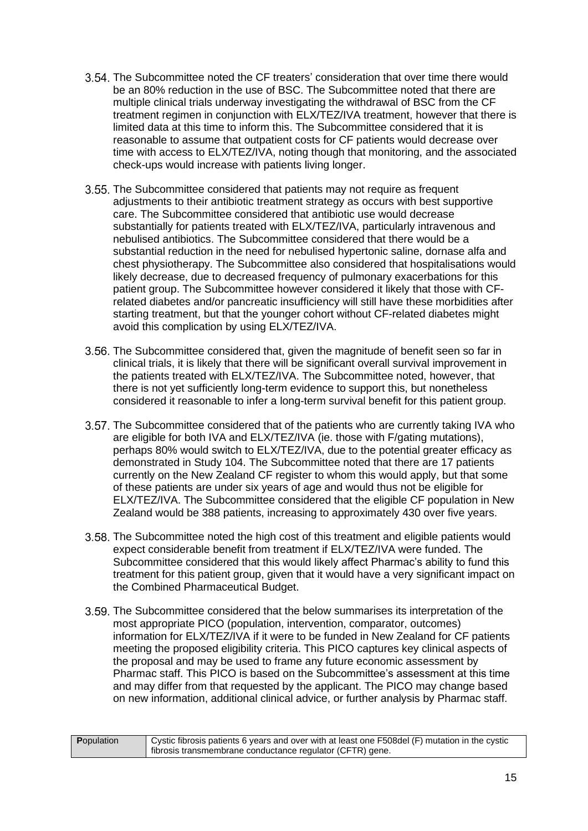- The Subcommittee noted the CF treaters' consideration that over time there would be an 80% reduction in the use of BSC. The Subcommittee noted that there are multiple clinical trials underway investigating the withdrawal of BSC from the CF treatment regimen in conjunction with ELX/TEZ/IVA treatment, however that there is limited data at this time to inform this. The Subcommittee considered that it is reasonable to assume that outpatient costs for CF patients would decrease over time with access to ELX/TEZ/IVA, noting though that monitoring, and the associated check-ups would increase with patients living longer.
- 3.55. The Subcommittee considered that patients may not require as frequent adjustments to their antibiotic treatment strategy as occurs with best supportive care. The Subcommittee considered that antibiotic use would decrease substantially for patients treated with ELX/TEZ/IVA, particularly intravenous and nebulised antibiotics. The Subcommittee considered that there would be a substantial reduction in the need for nebulised hypertonic saline, dornase alfa and chest physiotherapy. The Subcommittee also considered that hospitalisations would likely decrease, due to decreased frequency of pulmonary exacerbations for this patient group. The Subcommittee however considered it likely that those with CFrelated diabetes and/or pancreatic insufficiency will still have these morbidities after starting treatment, but that the younger cohort without CF-related diabetes might avoid this complication by using ELX/TEZ/IVA.
- 3.56. The Subcommittee considered that, given the magnitude of benefit seen so far in clinical trials, it is likely that there will be significant overall survival improvement in the patients treated with ELX/TEZ/IVA. The Subcommittee noted, however, that there is not yet sufficiently long-term evidence to support this, but nonetheless considered it reasonable to infer a long-term survival benefit for this patient group.
- 3.57. The Subcommittee considered that of the patients who are currently taking IVA who are eligible for both IVA and ELX/TEZ/IVA (ie. those with F/gating mutations), perhaps 80% would switch to ELX/TEZ/IVA, due to the potential greater efficacy as demonstrated in Study 104. The Subcommittee noted that there are 17 patients currently on the New Zealand CF register to whom this would apply, but that some of these patients are under six years of age and would thus not be eligible for ELX/TEZ/IVA. The Subcommittee considered that the eligible CF population in New Zealand would be 388 patients, increasing to approximately 430 over five years.
- The Subcommittee noted the high cost of this treatment and eligible patients would expect considerable benefit from treatment if ELX/TEZ/IVA were funded. The Subcommittee considered that this would likely affect Pharmac's ability to fund this treatment for this patient group, given that it would have a very significant impact on the Combined Pharmaceutical Budget.
- The Subcommittee considered that the below summarises its interpretation of the most appropriate PICO (population, intervention, comparator, outcomes) information for ELX/TEZ/IVA if it were to be funded in New Zealand for CF patients meeting the proposed eligibility criteria. This PICO captures key clinical aspects of the proposal and may be used to frame any future economic assessment by Pharmac staff. This PICO is based on the Subcommittee's assessment at this time and may differ from that requested by the applicant. The PICO may change based on new information, additional clinical advice, or further analysis by Pharmac staff.

| <b>P</b> opulation | Cystic fibrosis patients 6 years and over with at least one F508del (F) mutation in the cystic |
|--------------------|------------------------------------------------------------------------------------------------|
|                    | fibrosis transmembrane conductance regulator (CFTR) gene.                                      |